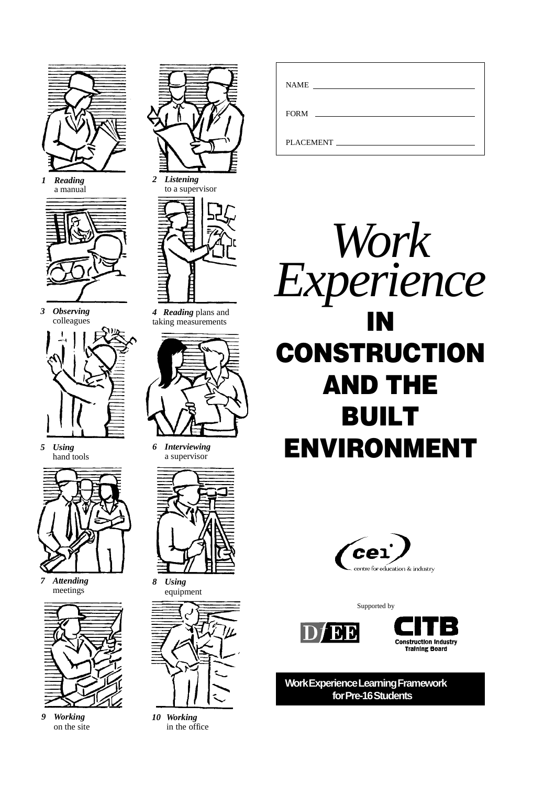

*1 Reading* a manual



*3 Observing* colleagues



*5 Using* hand tools



*7 Attending* meetings



*9 Working* on the site





*4 Reading* plans and taking measurements



*6 Interviewing* a supervisor



*8 Using* equipment



*10 Working* in the office

| <b>NAME</b>                                                                                                     |
|-----------------------------------------------------------------------------------------------------------------|
| <b>FORM</b>                                                                                                     |
| PLACEMENT FOR THE STATE OF THE STATE OF THE STATE OF THE STATE OF THE STATE OF THE STATE OF THE STATE OF THE ST |





Supported by





**Work Experience Learning Framework for Pre-16 Students**